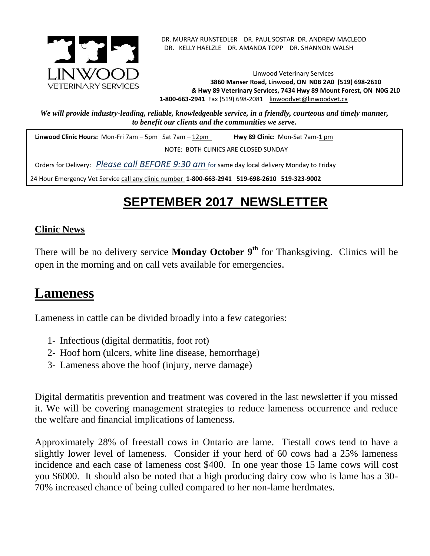

. DR. MURRAY RUNSTEDLER DR. PAUL SOSTAR DR. ANDREW MACLEOD DR. KELLY HAELZLE DR. AMANDA TOPP DR. SHANNON WALSH

Linwood Veterinary Services **3860 Manser Road, Linwood, ON N0B 2A0 (519) 698-2610** *&* **Hwy 89 Veterinary Services, 7434 Hwy 89 Mount Forest, ON N0G 2L0 1-800-663-2941** Fax (519) 698-2081[linwoodvet@linwoodvet.ca](mailto:linwoodvet@linwoodvet.ca)

*We will provide industry-leading, reliable, knowledgeable service, in a friendly, courteous and timely manner, to benefit our clients and the communities we serve.*

**Linwood Clinic Hours:** Mon-Fri 7am – 5pm Sat 7am – 12pm **Hwy 89 Clinic:** Mon-Sat 7am-1 pm

NOTE: BOTH CLINICS ARE CLOSED SUNDAY

Orders for Delivery: *Please call BEFORE 9:30 am* for same day local delivery Monday to Friday

24 Hour Emergency Vet Service call any clinic number **1-800-663-2941 519-698-2610 519-323-9002**

# **SEPTEMBER 2017 NEWSLETTER**

#### **Clinic News**

There will be no delivery service **Monday October 9th** for Thanksgiving. Clinics will be open in the morning and on call vets available for emergencies.

## **Lameness**

Lameness in cattle can be divided broadly into a few categories:

- 1- Infectious (digital dermatitis, foot rot)
- 2- Hoof horn (ulcers, white line disease, hemorrhage)
- 3- Lameness above the hoof (injury, nerve damage)

Digital dermatitis prevention and treatment was covered in the last newsletter if you missed it. We will be covering management strategies to reduce lameness occurrence and reduce the welfare and financial implications of lameness.

Approximately 28% of freestall cows in Ontario are lame. Tiestall cows tend to have a slightly lower level of lameness. Consider if your herd of 60 cows had a 25% lameness incidence and each case of lameness cost \$400. In one year those 15 lame cows will cost you \$6000. It should also be noted that a high producing dairy cow who is lame has a 30- 70% increased chance of being culled compared to her non-lame herdmates.